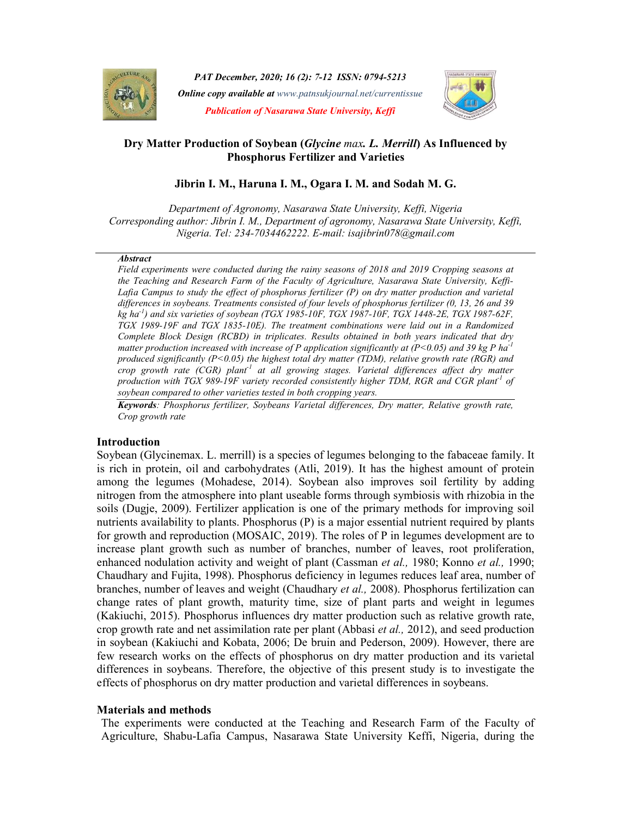

PAT December, 2020; 16 (2): 7-12 ISSN: 0794-5213 **Online copy available at** www.patnsukjournal.net/currentissue Publication of Nasarawa State University, Keffi



# Dry Matter Production of Soybean (*Glycine max. L. Merrill*) As Influenced by Phosphorus Fertilizer and Varieties

# Jibrin I. M., Haruna I. M., Ogara I. M. and Sodah M. G.

Department of Agronomy, Nasarawa State University, Keffi, Nigeria Corresponding author: Jibrin I. M., Department of agronomy, Nasarawa State University, Keffi, Nigeria. Tel: 234-7034462222. E-mail: isajibrin078@gmail.com

#### **Abstract**

Field experiments were conducted during the rainy seasons of 2018 and 2019 Cropping seasons at the Teaching and Research Farm of the Faculty of Agriculture, Nasarawa State University, Keffi-Lafia Campus to study the effect of phosphorus fertilizer (P) on dry matter production and varietal differences in soybeans. Treatments consisted of four levels of phosphorus fertilizer (0, 13, 26 and 39  $kg$  ha<sup>-1</sup>) and six varieties of soybean (TGX 1985-10F, TGX 1987-10F, TGX 1448-2E, TGX 1987-62F, TGX 1989-19F and TGX 1835-10E). The treatment combinations were laid out in a Randomized Complete Block Design (RCBD) in triplicates. Results obtained in both years indicated that dry matter production increased with increase of P application significantly at (P<0.05) and 39 kg P ha<sup>-1</sup> produced significantly  $(P<0.05)$  the highest total dry matter (TDM), relative growth rate (RGR) and crop growth rate (CGR) plant<sup>-1</sup> at all growing stages. Varietal differences affect dry matter production with TGX 989-19F variety recorded consistently higher TDM, RGR and CGR plant<sup>1</sup> of soybean compared to other varieties tested in both cropping years.

Keywords: Phosphorus fertilizer, Soybeans Varietal differences, Dry matter, Relative growth rate, Crop growth rate

## Introduction

Soybean (Glycinemax. L. merrill) is a species of legumes belonging to the fabaceae family. It is rich in protein, oil and carbohydrates (Atli, 2019). It has the highest amount of protein among the legumes (Mohadese, 2014). Soybean also improves soil fertility by adding nitrogen from the atmosphere into plant useable forms through symbiosis with rhizobia in the soils (Dugje, 2009). Fertilizer application is one of the primary methods for improving soil nutrients availability to plants. Phosphorus (P) is a major essential nutrient required by plants for growth and reproduction (MOSAIC, 2019). The roles of P in legumes development are to increase plant growth such as number of branches, number of leaves, root proliferation, enhanced nodulation activity and weight of plant (Cassman et al., 1980; Konno et al., 1990; Chaudhary and Fujita, 1998). Phosphorus deficiency in legumes reduces leaf area, number of branches, number of leaves and weight (Chaudhary et al., 2008). Phosphorus fertilization can change rates of plant growth, maturity time, size of plant parts and weight in legumes (Kakiuchi, 2015). Phosphorus influences dry matter production such as relative growth rate, crop growth rate and net assimilation rate per plant (Abbasi *et al.*, 2012), and seed production in soybean (Kakiuchi and Kobata, 2006; De bruin and Pederson, 2009). However, there are few research works on the effects of phosphorus on dry matter production and its varietal differences in soybeans. Therefore, the objective of this present study is to investigate the effects of phosphorus on dry matter production and varietal differences in soybeans.

### Materials and methods

The experiments were conducted at the Teaching and Research Farm of the Faculty of Agriculture, Shabu-Lafia Campus, Nasarawa State University Keffi, Nigeria, during the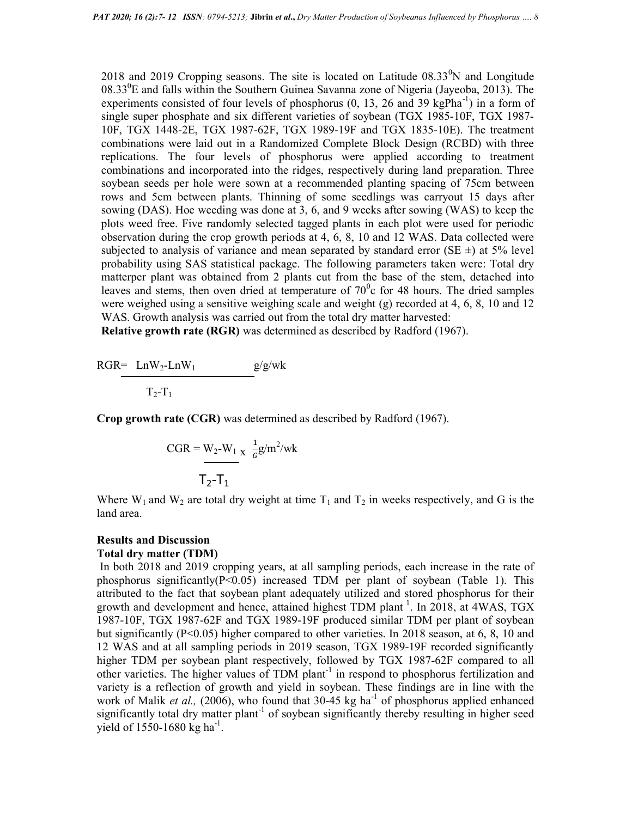2018 and 2019 Cropping seasons. The site is located on Latitude  $08.33^{\circ}$ N and Longitude  $08.33^0$ E and falls within the Southern Guinea Savanna zone of Nigeria (Jayeoba, 2013). The experiments consisted of four levels of phosphorus  $(0, 13, 26, 39 \text{ kg} \text{P} \text{h} \text{m}^{-1})$  in a form of single super phosphate and six different varieties of soybean (TGX 1985-10F, TGX 1987- 10F, TGX 1448-2E, TGX 1987-62F, TGX 1989-19F and TGX 1835-10E). The treatment combinations were laid out in a Randomized Complete Block Design (RCBD) with three replications. The four levels of phosphorus were applied according to treatment combinations and incorporated into the ridges, respectively during land preparation. Three soybean seeds per hole were sown at a recommended planting spacing of 75cm between rows and 5cm between plants. Thinning of some seedlings was carryout 15 days after sowing (DAS). Hoe weeding was done at 3, 6, and 9 weeks after sowing (WAS) to keep the plots weed free. Five randomly selected tagged plants in each plot were used for periodic observation during the crop growth periods at 4, 6, 8, 10 and 12 WAS. Data collected were subjected to analysis of variance and mean separated by standard error (SE  $\pm$ ) at 5% level probability using SAS statistical package. The following parameters taken were: Total dry matterper plant was obtained from 2 plants cut from the base of the stem, detached into leaves and stems, then oven dried at temperature of  $70^{\circ}$ c for 48 hours. The dried samples were weighed using a sensitive weighing scale and weight (g) recorded at 4, 6, 8, 10 and 12 WAS. Growth analysis was carried out from the total dry matter harvested:

Relative growth rate (RGR) was determined as described by Radford (1967).

 $RGR= \text{Ln}W_2-\text{Ln}W_1$  g/g/wk  $T_2-T_1$ 

Crop growth rate (CGR) was determined as described by Radford (1967).

$$
CGR = W_2-W_1 \times \frac{1}{6}g/m^2/wk
$$

$$
T_2-T_1
$$

Where  $W_1$  and  $W_2$  are total dry weight at time  $T_1$  and  $T_2$  in weeks respectively, and G is the land area.

### Results and Discussion

### Total dry matter (TDM)

 In both 2018 and 2019 cropping years, at all sampling periods, each increase in the rate of phosphorus significantly( $P<0.05$ ) increased TDM per plant of soybean (Table 1). This attributed to the fact that soybean plant adequately utilized and stored phosphorus for their growth and development and hence, attained highest TDM plant<sup>1</sup>. In 2018, at 4WAS, TGX 1987-10F, TGX 1987-62F and TGX 1989-19F produced similar TDM per plant of soybean but significantly ( $P \le 0.05$ ) higher compared to other varieties. In 2018 season, at 6, 8, 10 and 12 WAS and at all sampling periods in 2019 season, TGX 1989-19F recorded significantly higher TDM per soybean plant respectively, followed by TGX 1987-62F compared to all other varieties. The higher values of TDM plant<sup>-1</sup> in respond to phosphorus fertilization and variety is a reflection of growth and yield in soybean. These findings are in line with the work of Malik *et al.*, (2006), who found that 30-45 kg ha<sup>-1</sup> of phosphorus applied enhanced significantly total dry matter plant<sup>-1</sup> of soybean significantly thereby resulting in higher seed yield of  $1550 - 1680$  kg ha<sup>-1</sup>.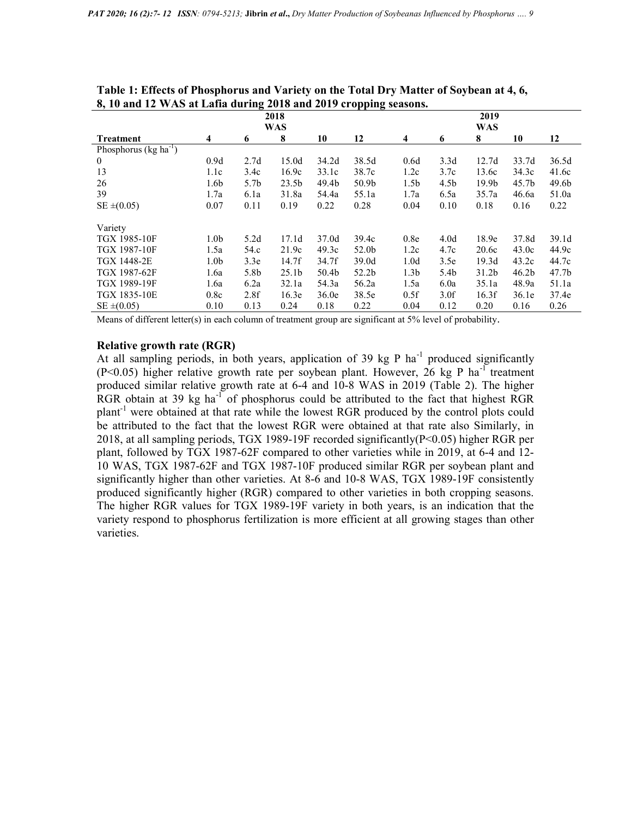| $\sigma$ , To and 12 $\pi$ /My at Early during 2010 and 2017 G opping stasons. |                  |                  |                   |                   |                   |                  |                  |                   |                   |                   |  |
|--------------------------------------------------------------------------------|------------------|------------------|-------------------|-------------------|-------------------|------------------|------------------|-------------------|-------------------|-------------------|--|
|                                                                                | 2018             |                  |                   |                   |                   | 2019             |                  |                   |                   |                   |  |
|                                                                                |                  | <b>WAS</b>       |                   | <b>WAS</b>        |                   |                  |                  |                   |                   |                   |  |
| <b>Treatment</b>                                                               | 4                | 6                | 8                 | 10                | 12                | 4                | 6                | 8                 | 10                | 12                |  |
| Phosphorus ( $kg \text{ ha}^{-1}$ )                                            |                  |                  |                   |                   |                   |                  |                  |                   |                   |                   |  |
| $\overline{0}$                                                                 | 0.9d             | 2.7d             | 15.0d             | 34.2d             | 38.5d             | 0.6d             | 3.3d             | 12.7d             | 33.7d             | 36.5d             |  |
| 13                                                                             | 1.1c             | 3.4c             | 16.9c             | 33.1c             | 38.7c             | 1.2c             | 3.7c             | 13.6c             | 34.3c             | 41.6c             |  |
| 26                                                                             | 1.6 <sub>b</sub> | 5.7 <sub>b</sub> | 23.5 <sub>b</sub> | 49.4b             | 50.9b             | 1.5 <sub>b</sub> | 4.5 <sub>b</sub> | 19.9 <sub>b</sub> | 45.7b             | 49.6b             |  |
| 39                                                                             | 1.7a             | 6.1a             | 31.8a             | 54.4a             | 55.1a             | 1.7a             | 6.5a             | 35.7a             | 46.6a             | 51.0a             |  |
| $SE \pm (0.05)$                                                                | 0.07             | 0.11             | 0.19              | 0.22              | 0.28              | 0.04             | 0.10             | 0.18              | 0.16              | 0.22              |  |
|                                                                                |                  |                  |                   |                   |                   |                  |                  |                   |                   |                   |  |
| Variety                                                                        |                  |                  |                   |                   |                   |                  |                  |                   |                   |                   |  |
| <b>TGX 1985-10F</b>                                                            | 1.0 <sub>b</sub> | 5.2d             | 17.1d             | 37.0d             | 39.4c             | 0.8 <sub>e</sub> | 4.0 <sub>d</sub> | 18.9e             | 37.8d             | 39.1 <sub>d</sub> |  |
| TGX 1987-10F                                                                   | 1.5a             | 54.c             | 21.9c             | 49.3c             | 52.0b             | 1.2c             | 4.7c             | 20.6c             | 43.0c             | 44.9c             |  |
| TGX 1448-2E                                                                    | 1.0 <sub>b</sub> | 3.3e             | 14.7f             | 34.7f             | 39.0d             | 1.0 <sub>d</sub> | 3.5e             | 19.3d             | 43.2c             | 44.7c             |  |
| TGX 1987-62F                                                                   | 1.6a             | 5.8b             | 25.1 <sub>b</sub> | 50.4 <sub>b</sub> | 52.2 <sub>b</sub> | 1.3 <sub>b</sub> | 5.4 <sub>b</sub> | 31.2 <sub>b</sub> | 46.2 <sub>b</sub> | 47.7 <sub>b</sub> |  |
| TGX 1989-19F                                                                   | 1.6a             | 6.2a             | 32.1a             | 54.3a             | 56.2a             | 1.5a             | 6.0a             | 35.1a             | 48.9a             | 51.1a             |  |
| <b>TGX 1835-10E</b>                                                            | 0.8c             | 2.8f             | 16.3e             | 36.0e             | 38.5e             | 0.5f             | 3.0 <sub>f</sub> | 16.3f             | 36.1e             | 37.4e             |  |
| $SE \pm (0.05)$                                                                | 0.10             | 0.13             | 0.24              | 0.18              | 0.22              | 0.04             | 0.12             | 0.20              | 0.16              | 0.26              |  |

Table 1: Effects of Phosphorus and Variety on the Total Dry Matter of Soybean at 4, 6, 8, 10 and 12 WAS at Lafia during 2018 and 2019 cropping seasons.

Means of different letter(s) in each column of treatment group are significant at 5% level of probability.

### Relative growth rate (RGR)

At all sampling periods, in both years, application of 39 kg P ha<sup>-1</sup> produced significantly (P<0.05) higher relative growth rate per soybean plant. However, 26 kg P ha<sup>-1</sup> treatment produced similar relative growth rate at 6-4 and 10-8 WAS in 2019 (Table 2). The higher RGR obtain at 39 kg ha<sup>-1</sup> of phosphorus could be attributed to the fact that highest RGR  $plant<sup>-1</sup>$  were obtained at that rate while the lowest RGR produced by the control plots could be attributed to the fact that the lowest RGR were obtained at that rate also Similarly, in 2018, at all sampling periods, TGX 1989-19F recorded significantly(P<0.05) higher RGR per plant, followed by TGX 1987-62F compared to other varieties while in 2019, at 6-4 and 12- 10 WAS, TGX 1987-62F and TGX 1987-10F produced similar RGR per soybean plant and significantly higher than other varieties. At 8-6 and 10-8 WAS, TGX 1989-19F consistently produced significantly higher (RGR) compared to other varieties in both cropping seasons. The higher RGR values for TGX 1989-19F variety in both years, is an indication that the variety respond to phosphorus fertilization is more efficient at all growing stages than other varieties.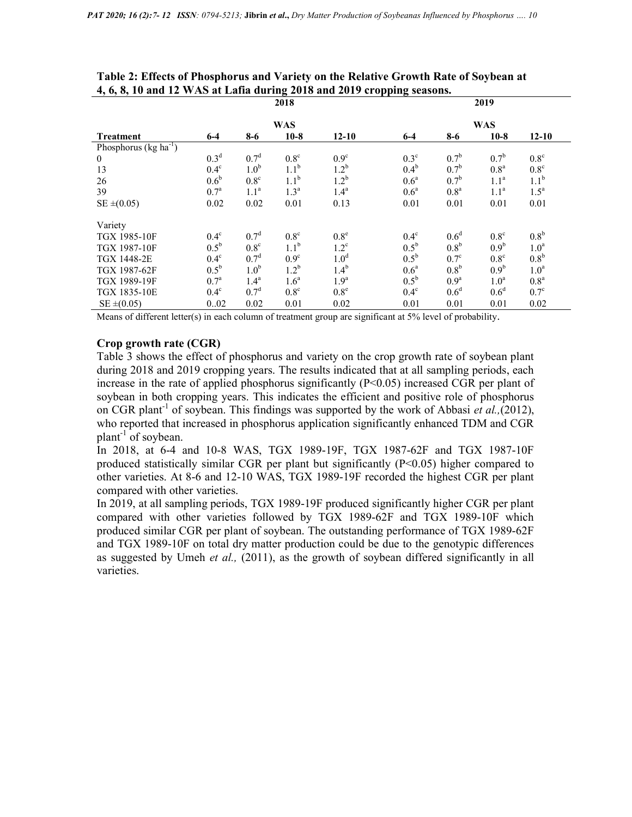|                                     | 2018             |                  |                  |                  | 2019             |                  |                  |                  |  |
|-------------------------------------|------------------|------------------|------------------|------------------|------------------|------------------|------------------|------------------|--|
|                                     | <b>WAS</b>       |                  |                  |                  | WAS              |                  |                  |                  |  |
| <b>Treatment</b>                    | $6-4$            | $8-6$            | $10-8$           | $12 - 10$        | $6-4$            | $8-6$            | $10-8$           | $12 - 10$        |  |
| Phosphorus ( $kg \text{ ha}^{-1}$ ) |                  |                  |                  |                  |                  |                  |                  |                  |  |
| $\mathbf{0}$                        | 0.3 <sup>d</sup> | 0.7 <sup>d</sup> | $0.8^{\circ}$    | $0.9^\circ$      | $0.3^\circ$      | 0.7 <sup>b</sup> | 0.7 <sup>b</sup> | $0.8^{\circ}$    |  |
| 13                                  | $0.4^\text{c}$   | 1.0 <sup>b</sup> | 1.1 <sup>b</sup> | $1.2^{\rm b}$    | $0.4^{\rm b}$    | 0.7 <sup>b</sup> | 0.8 <sup>a</sup> | $0.8^{\circ}$    |  |
| 26                                  | 0.6 <sup>b</sup> | 0.8 <sup>c</sup> | 1.1 <sup>b</sup> | 1.2 <sup>b</sup> | 0.6 <sup>a</sup> | 0.7 <sup>b</sup> | 1.1 <sup>a</sup> | 1.1 <sup>b</sup> |  |
| 39                                  | $0.7^{\rm a}$    | 1.1 <sup>a</sup> | 1.3 <sup>a</sup> | 1.4 <sup>a</sup> | 0.6 <sup>a</sup> | 0.8 <sup>a</sup> | 1.1 <sup>a</sup> | $1.5^a$          |  |
| $SE \pm (0.05)$                     | 0.02             | 0.02             | 0.01             | 0.13             | 0.01             | 0.01             | 0.01             | 0.01             |  |
| Variety                             |                  |                  |                  |                  |                  |                  |                  |                  |  |
| <b>TGX 1985-10F</b>                 | $0.4^\text{c}$   | 0.7 <sup>d</sup> | 0.8 <sup>c</sup> | 0.8 <sup>e</sup> | $0.4^\circ$      | 0.6 <sup>d</sup> | 0.8 <sup>c</sup> | 0.8 <sup>b</sup> |  |
| <b>TGX 1987-10F</b>                 | $0.5^{\rm b}$    | 0.8 <sup>c</sup> | 1.1 <sup>b</sup> | $1.2^{\circ}$    | $0.5^{\rm b}$    | 0.8 <sup>b</sup> | 0.9 <sup>b</sup> | 1.0 <sup>a</sup> |  |
| TGX 1448-2E                         | $0.4^\circ$      | 0.7 <sup>d</sup> | 0.9 <sup>c</sup> | 1.0 <sup>d</sup> | $0.5^{\rm b}$    | $0.7^\circ$      | 0.8 <sup>c</sup> | 0.8 <sup>b</sup> |  |
| TGX 1987-62F                        | $0.5^{\rm b}$    | 1.0 <sup>b</sup> | 1.2 <sup>b</sup> | 1.4 <sup>b</sup> | 0.6 <sup>a</sup> | 0.8 <sup>b</sup> | 0.9 <sup>b</sup> | 1.0 <sup>a</sup> |  |
| TGX 1989-19F                        | $0.7^{\circ}$    | 1.4 <sup>a</sup> | 1.6 <sup>a</sup> | 1.9 <sup>a</sup> | $0.5^{\rm b}$    | 0.9 <sup>a</sup> | 1.0 <sup>a</sup> | 0.8 <sup>a</sup> |  |
| TGX 1835-10E                        | $0.4^\circ$      | 0.7 <sup>d</sup> | 0.8 <sup>c</sup> | 0.8 <sup>e</sup> | $0.4^\circ$      | 0.6 <sup>d</sup> | 0.6 <sup>d</sup> | $0.7^\circ$      |  |
| $SE \pm (0.05)$                     | 0.02             | 0.02             | 0.01             | 0.02             | 0.01             | 0.01             | 0.01             | 0.02             |  |

Table 2: Effects of Phosphorus and Variety on the Relative Growth Rate of Soybean at 4, 6, 8, 10 and 12 WAS at Lafia during 2018 and 2019 cropping seasons.

Means of different letter(s) in each column of treatment group are significant at 5% level of probability.

### Crop growth rate (CGR)

Table 3 shows the effect of phosphorus and variety on the crop growth rate of soybean plant during 2018 and 2019 cropping years. The results indicated that at all sampling periods, each increase in the rate of applied phosphorus significantly  $(P<0.05)$  increased CGR per plant of soybean in both cropping years. This indicates the efficient and positive role of phosphorus on CGR plant<sup>-1</sup> of soybean. This findings was supported by the work of Abbasi et al.,(2012), who reported that increased in phosphorus application significantly enhanced TDM and CGR plant<sup>-1</sup> of soybean.

In 2018, at 6-4 and 10-8 WAS, TGX 1989-19F, TGX 1987-62F and TGX 1987-10F produced statistically similar CGR per plant but significantly (P<0.05) higher compared to other varieties. At 8-6 and 12-10 WAS, TGX 1989-19F recorded the highest CGR per plant compared with other varieties.

In 2019, at all sampling periods, TGX 1989-19F produced significantly higher CGR per plant compared with other varieties followed by TGX 1989-62F and TGX 1989-10F which produced similar CGR per plant of soybean. The outstanding performance of TGX 1989-62F and TGX 1989-10F on total dry matter production could be due to the genotypic differences as suggested by Umeh *et al.*, (2011), as the growth of soybean differed significantly in all varieties.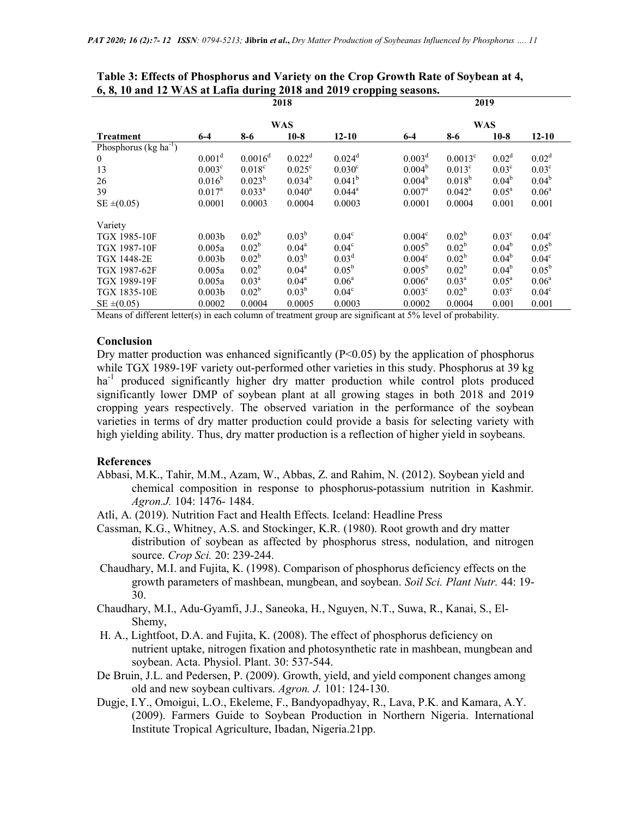|                                                                                                                                                                              | -<br>2018          |                    |                   |                    | 2019               |                   |                   |                   |  |
|------------------------------------------------------------------------------------------------------------------------------------------------------------------------------|--------------------|--------------------|-------------------|--------------------|--------------------|-------------------|-------------------|-------------------|--|
|                                                                                                                                                                              | <b>WAS</b>         |                    |                   |                    | <b>WAS</b>         |                   |                   |                   |  |
| <b>Treatment</b>                                                                                                                                                             | $6-4$              | $8-6$              | $10-8$            | $12 - 10$          | $6-4$              | $8-6$             | $10-8$            | $12 - 10$         |  |
| Phosphorus ( $kg \text{ ha}^{-1}$ )                                                                                                                                          |                    |                    |                   |                    |                    |                   |                   |                   |  |
| $\theta$                                                                                                                                                                     | $0.001^d$          | $0.0016^d$         | $0.022^d$         | $0.024^d$          | 0.003 <sup>d</sup> | $0.0013^{\circ}$  | 0.02 <sup>d</sup> | 0.02 <sup>d</sup> |  |
| 13                                                                                                                                                                           | 0.003 <sup>c</sup> | 0.018 <sup>c</sup> | $0.025^{\circ}$   | 0.030 <sup>c</sup> | $0.004^b$          | $0.013^{\circ}$   | 0.03 <sup>c</sup> | 0.03 <sup>c</sup> |  |
| 26                                                                                                                                                                           | $0.016^b$          | $0.023^{b}$        | $0.034^{b}$       | $0.041^{b}$        | 0.004 <sup>b</sup> | $0.018^{b}$       | $0.04^b$          | $0.04^b$          |  |
| 39                                                                                                                                                                           | $0.017^{\rm a}$    | $0.033^{\rm a}$    | $0.040^{\rm a}$   | $0.044^{\circ}$    | $0.007^{\rm a}$    | $0.042^{\rm a}$   | $0.05^{\rm a}$    | $0.06^{\circ}$    |  |
| $SE \pm (0.05)$                                                                                                                                                              | 0.0001             | 0.0003             | 0.0004            | 0.0003             | 0.0001             | 0.0004            | 0.001             | 0.001             |  |
| Variety                                                                                                                                                                      |                    |                    |                   |                    |                    |                   |                   |                   |  |
| TGX 1985-10F                                                                                                                                                                 | 0.003 <sub>b</sub> | $0.02^b$           | 0.03 <sup>b</sup> | 0.04 <sup>c</sup>  | 0.004 <sup>c</sup> | 0.02 <sup>b</sup> | $0.03^{\circ}$    | 0.04 <sup>c</sup> |  |
| TGX 1987-10F                                                                                                                                                                 | 0.005a             | $0.02^{\rm b}$     | $0.04^{\rm a}$    | 0.04 <sup>c</sup>  | $0.005^{\rm b}$    | 0.02 <sup>b</sup> | $0.04^b$          | $0.05^{\rm b}$    |  |
| <b>TGX 1448-2E</b>                                                                                                                                                           | 0.003 <sub>b</sub> | $0.02^{\rm b}$     | $0.03^{\rm b}$    | 0.03 <sup>d</sup>  | 0.004 <sup>c</sup> | 0.02 <sup>b</sup> | $0.04^b$          | 0.04 <sup>c</sup> |  |
| TGX 1987-62F                                                                                                                                                                 | 0.005a             | $0.02^{\rm b}$     | $0.04^{\rm a}$    | $0.05^{\rm b}$     | $0.005^{\rm b}$    | $0.02^{\rm b}$    | $0.04^{\rm b}$    | $0.05^{\rm b}$    |  |
| TGX 1989-19F                                                                                                                                                                 | 0.005a             | 0.03 <sup>a</sup>  | $0.04^{\rm a}$    | 0.06 <sup>a</sup>  | $0.006^a$          | 0.03 <sup>a</sup> | 0.05 <sup>a</sup> | $0.06^{\circ}$    |  |
| TGX 1835-10E                                                                                                                                                                 | 0.003 <sub>b</sub> | $0.02^{\rm b}$     | $0.03^b$          | $0.04^{\circ}$     | $0.003^{\circ}$    | $0.02^{\rm b}$    | $0.03^{\circ}$    | 0.04 <sup>c</sup> |  |
| $SE \pm (0.05)$                                                                                                                                                              | 0.0002             | 0.0004             | 0.0005            | 0.0003             | 0.0002             | 0.0004            | 0.001             | 0.001             |  |
| $\alpha$ .<br>$M_{\odot}$ and $\Omega$ and $\Omega$ and $\Omega$ and $\Omega$ is the set of $\Omega$ and $\Omega$ is the set of $\Omega$ and $\Omega$ is the set of $\Omega$ |                    |                    |                   |                    |                    |                   |                   |                   |  |

Table 3: Effects of Phosphorus and Variety on the Crop Growth Rate of Soybean at 4, 6, 8, 10 and 12 WAS at Lafia during 2018 and 2019 cropping seasons.

Means of different letter(s) in each column of treatment group are significant at 5% level of probability.

#### Conclusion

Dry matter production was enhanced significantly  $(P<0.05)$  by the application of phosphorus while TGX 1989-19F variety out-performed other varieties in this study. Phosphorus at 39 kg ha<sup>-1</sup> produced significantly higher dry matter production while control plots produced significantly lower DMP of soybean plant at all growing stages in both 2018 and 2019 cropping years respectively. The observed variation in the performance of the soybean varieties in terms of dry matter production could provide a basis for selecting variety with high yielding ability. Thus, dry matter production is a reflection of higher yield in soybeans.

### References

- Abbasi, M.K., Tahir, M.M., Azam, W., Abbas, Z. and Rahim, N. (2012). Soybean yield and chemical composition in response to phosphorus-potassium nutrition in Kashmir. Agron.J. 104: 1476- 1484.
- Atli, A. (2019). Nutrition Fact and Health Effects. Iceland: Headline Press
- Cassman, K.G., Whitney, A.S. and Stockinger, K.R. (1980). Root growth and dry matter distribution of soybean as affected by phosphorus stress, nodulation, and nitrogen source. Crop Sci. 20: 239-244.
- Chaudhary, M.I. and Fujita, K. (1998). Comparison of phosphorus deficiency effects on the growth parameters of mashbean, mungbean, and soybean. Soil Sci. Plant Nutr. 44: 19- 30.
- Chaudhary, M.I., Adu-Gyamfi, J.J., Saneoka, H., Nguyen, N.T., Suwa, R., Kanai, S., El- Shemy,
- H. A., Lightfoot, D.A. and Fujita, K. (2008). The effect of phosphorus deficiency on nutrient uptake, nitrogen fixation and photosynthetic rate in mashbean, mungbean and soybean. Acta. Physiol. Plant. 30: 537-544.
- De Bruin, J.L. and Pedersen, P. (2009). Growth, yield, and yield component changes among old and new soybean cultivars. Agron. J. 101: 124-130.
- Dugje, I.Y., Omoigui, L.O., Ekeleme, F., Bandyopadhyay, R., Lava, P.K. and Kamara, A.Y. (2009). Farmers Guide to Soybean Production in Northern Nigeria. International Institute Tropical Agriculture, Ibadan, Nigeria.21pp.